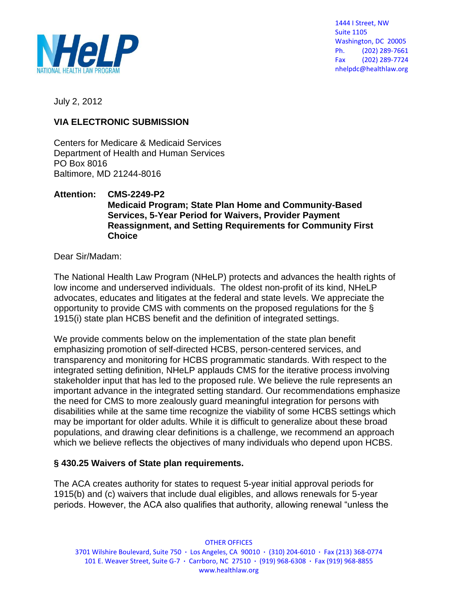

1444 I Street, NW Suite 1105 Washington, DC 20005 Ph. (202) 289-7661 Fax (202) 289-7724 nhelpdc@healthlaw.org

July 2, 2012

#### **VIA ELECTRONIC SUBMISSION**

Centers for Medicare & Medicaid Services Department of Health and Human Services PO Box 8016 Baltimore, MD 21244-8016

#### **Attention: CMS-2249-P2 Medicaid Program; State Plan Home and Community-Based Services, 5-Year Period for Waivers, Provider Payment Reassignment, and Setting Requirements for Community First Choice**

Dear Sir/Madam:

The National Health Law Program (NHeLP) protects and advances the health rights of low income and underserved individuals. The oldest non-profit of its kind, NHeLP advocates, educates and litigates at the federal and state levels. We appreciate the opportunity to provide CMS with comments on the proposed regulations for the § 1915(i) state plan HCBS benefit and the definition of integrated settings.

We provide comments below on the implementation of the state plan benefit emphasizing promotion of self-directed HCBS, person-centered services, and transparency and monitoring for HCBS programmatic standards. With respect to the integrated setting definition, NHeLP applauds CMS for the iterative process involving stakeholder input that has led to the proposed rule. We believe the rule represents an important advance in the integrated setting standard. Our recommendations emphasize the need for CMS to more zealously guard meaningful integration for persons with disabilities while at the same time recognize the viability of some HCBS settings which may be important for older adults. While it is difficult to generalize about these broad populations, and drawing clear definitions is a challenge, we recommend an approach which we believe reflects the objectives of many individuals who depend upon HCBS.

### **§ 430.25 Waivers of State plan requirements.**

The ACA creates authority for states to request 5-year initial approval periods for 1915(b) and (c) waivers that include dual eligibles, and allows renewals for 5-year periods. However, the ACA also qualifies that authority, allowing renewal "unless the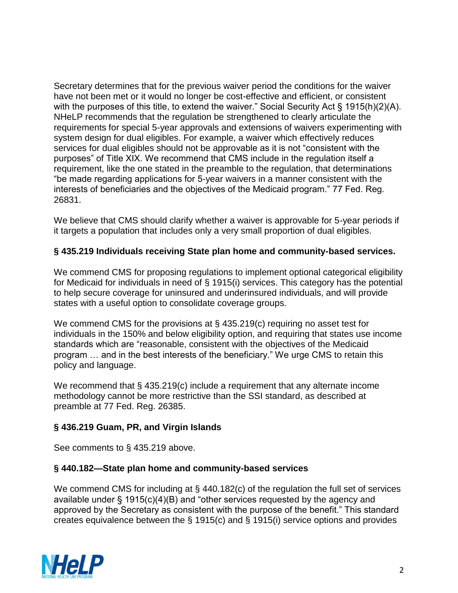Secretary determines that for the previous waiver period the conditions for the waiver have not been met or it would no longer be cost-effective and efficient, or consistent with the purposes of this title, to extend the waiver." Social Security Act § 1915(h)(2)(A). NHeLP recommends that the regulation be strengthened to clearly articulate the requirements for special 5-year approvals and extensions of waivers experimenting with system design for dual eligibles. For example, a waiver which effectively reduces services for dual eligibles should not be approvable as it is not "consistent with the purposes" of Title XIX. We recommend that CMS include in the regulation itself a requirement, like the one stated in the preamble to the regulation, that determinations "be made regarding applications for 5-year waivers in a manner consistent with the interests of beneficiaries and the objectives of the Medicaid program." 77 Fed. Reg. 26831.

We believe that CMS should clarify whether a waiver is approvable for 5-year periods if it targets a population that includes only a very small proportion of dual eligibles.

### **§ 435.219 Individuals receiving State plan home and community-based services.**

We commend CMS for proposing regulations to implement optional categorical eligibility for Medicaid for individuals in need of § 1915(i) services. This category has the potential to help secure coverage for uninsured and underinsured individuals, and will provide states with a useful option to consolidate coverage groups.

We commend CMS for the provisions at § 435.219(c) requiring no asset test for individuals in the 150% and below eligibility option, and requiring that states use income standards which are "reasonable, consistent with the objectives of the Medicaid program … and in the best interests of the beneficiary." We urge CMS to retain this policy and language.

We recommend that § 435.219(c) include a requirement that any alternate income methodology cannot be more restrictive than the SSI standard, as described at preamble at 77 Fed. Reg. 26385.

### **§ 436.219 Guam, PR, and Virgin Islands**

See comments to § 435.219 above.

### **§ 440.182—State plan home and community-based services**

We commend CMS for including at § 440.182(c) of the regulation the full set of services available under § 1915(c)(4)(B) and "other services requested by the agency and approved by the Secretary as consistent with the purpose of the benefit." This standard creates equivalence between the § 1915(c) and § 1915(i) service options and provides

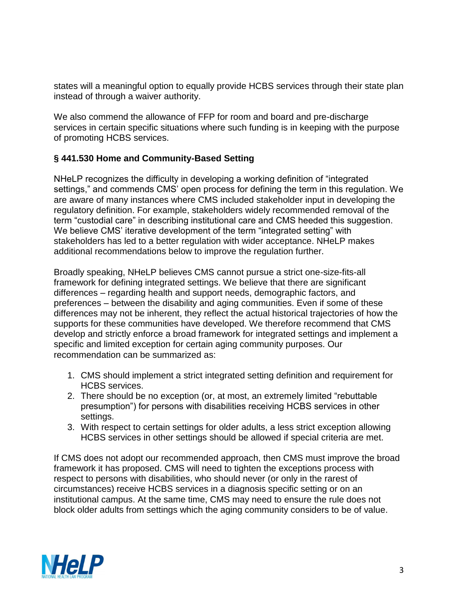states will a meaningful option to equally provide HCBS services through their state plan instead of through a waiver authority.

We also commend the allowance of FFP for room and board and pre-discharge services in certain specific situations where such funding is in keeping with the purpose of promoting HCBS services.

### **§ 441.530 Home and Community-Based Setting**

NHeLP recognizes the difficulty in developing a working definition of "integrated settings," and commends CMS' open process for defining the term in this regulation. We are aware of many instances where CMS included stakeholder input in developing the regulatory definition. For example, stakeholders widely recommended removal of the term "custodial care" in describing institutional care and CMS heeded this suggestion. We believe CMS' iterative development of the term "integrated setting" with stakeholders has led to a better regulation with wider acceptance. NHeLP makes additional recommendations below to improve the regulation further.

Broadly speaking, NHeLP believes CMS cannot pursue a strict one-size-fits-all framework for defining integrated settings. We believe that there are significant differences – regarding health and support needs, demographic factors, and preferences – between the disability and aging communities. Even if some of these differences may not be inherent, they reflect the actual historical trajectories of how the supports for these communities have developed. We therefore recommend that CMS develop and strictly enforce a broad framework for integrated settings and implement a specific and limited exception for certain aging community purposes. Our recommendation can be summarized as:

- 1. CMS should implement a strict integrated setting definition and requirement for HCBS services.
- 2. There should be no exception (or, at most, an extremely limited "rebuttable presumption") for persons with disabilities receiving HCBS services in other settings.
- 3. With respect to certain settings for older adults, a less strict exception allowing HCBS services in other settings should be allowed if special criteria are met.

If CMS does not adopt our recommended approach, then CMS must improve the broad framework it has proposed. CMS will need to tighten the exceptions process with respect to persons with disabilities, who should never (or only in the rarest of circumstances) receive HCBS services in a diagnosis specific setting or on an institutional campus. At the same time, CMS may need to ensure the rule does not block older adults from settings which the aging community considers to be of value.

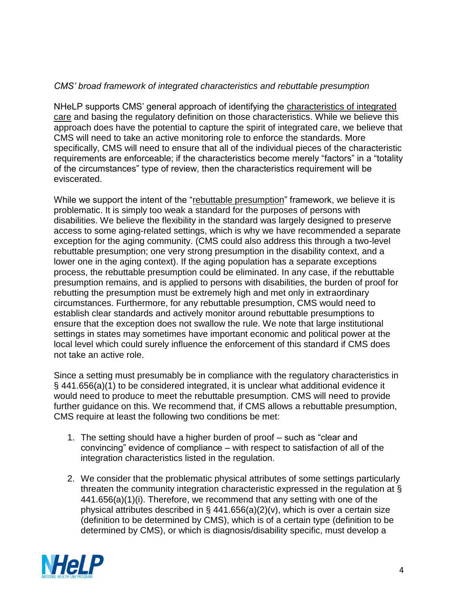### *CMS' broad framework of integrated characteristics and rebuttable presumption*

NHeLP supports CMS' general approach of identifying the characteristics of integrated care and basing the regulatory definition on those characteristics. While we believe this approach does have the potential to capture the spirit of integrated care, we believe that CMS will need to take an active monitoring role to enforce the standards. More specifically, CMS will need to ensure that all of the individual pieces of the characteristic requirements are enforceable; if the characteristics become merely "factors" in a "totality of the circumstances" type of review, then the characteristics requirement will be eviscerated.

While we support the intent of the "rebuttable presumption" framework, we believe it is problematic. It is simply too weak a standard for the purposes of persons with disabilities. We believe the flexibility in the standard was largely designed to preserve access to some aging-related settings, which is why we have recommended a separate exception for the aging community. (CMS could also address this through a two-level rebuttable presumption; one very strong presumption in the disability context, and a lower one in the aging context). If the aging population has a separate exceptions process, the rebuttable presumption could be eliminated. In any case, if the rebuttable presumption remains, and is applied to persons with disabilities, the burden of proof for rebutting the presumption must be extremely high and met only in extraordinary circumstances. Furthermore, for any rebuttable presumption, CMS would need to establish clear standards and actively monitor around rebuttable presumptions to ensure that the exception does not swallow the rule. We note that large institutional settings in states may sometimes have important economic and political power at the local level which could surely influence the enforcement of this standard if CMS does not take an active role.

Since a setting must presumably be in compliance with the regulatory characteristics in § 441.656(a)(1) to be considered integrated, it is unclear what additional evidence it would need to produce to meet the rebuttable presumption. CMS will need to provide further guidance on this. We recommend that, if CMS allows a rebuttable presumption, CMS require at least the following two conditions be met:

- 1. The setting should have a higher burden of proof such as "clear and convincing" evidence of compliance – with respect to satisfaction of all of the integration characteristics listed in the regulation.
- 2. We consider that the problematic physical attributes of some settings particularly threaten the community integration characteristic expressed in the regulation at § 441.656(a)(1)(i). Therefore, we recommend that any setting with one of the physical attributes described in § 441.656(a)(2)(v), which is over a certain size (definition to be determined by CMS), which is of a certain type (definition to be determined by CMS), or which is diagnosis/disability specific, must develop a

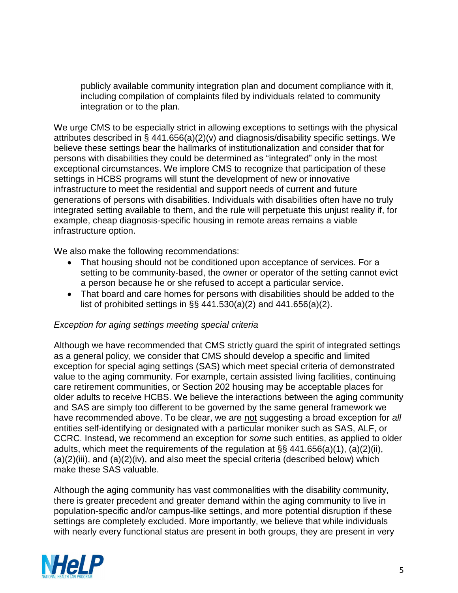publicly available community integration plan and document compliance with it, including compilation of complaints filed by individuals related to community integration or to the plan.

We urge CMS to be especially strict in allowing exceptions to settings with the physical attributes described in § 441.656(a)(2)(v) and diagnosis/disability specific settings. We believe these settings bear the hallmarks of institutionalization and consider that for persons with disabilities they could be determined as "integrated" only in the most exceptional circumstances. We implore CMS to recognize that participation of these settings in HCBS programs will stunt the development of new or innovative infrastructure to meet the residential and support needs of current and future generations of persons with disabilities. Individuals with disabilities often have no truly integrated setting available to them, and the rule will perpetuate this unjust reality if, for example, cheap diagnosis-specific housing in remote areas remains a viable infrastructure option.

We also make the following recommendations:

- That housing should not be conditioned upon acceptance of services. For a setting to be community-based, the owner or operator of the setting cannot evict a person because he or she refused to accept a particular service.
- That board and care homes for persons with disabilities should be added to the list of prohibited settings in §§ 441.530(a)(2) and 441.656(a)(2).

### *Exception for aging settings meeting special criteria*

Although we have recommended that CMS strictly guard the spirit of integrated settings as a general policy, we consider that CMS should develop a specific and limited exception for special aging settings (SAS) which meet special criteria of demonstrated value to the aging community. For example, certain assisted living facilities, continuing care retirement communities, or Section 202 housing may be acceptable places for older adults to receive HCBS. We believe the interactions between the aging community and SAS are simply too different to be governed by the same general framework we have recommended above. To be clear, we are not suggesting a broad exception for *all* entities self-identifying or designated with a particular moniker such as SAS, ALF, or CCRC. Instead, we recommend an exception for *some* such entities, as applied to older adults, which meet the requirements of the regulation at §§ 441.656(a)(1), (a)(2)(ii),  $(a)(2)(iii)$ , and  $(a)(2)(iv)$ , and also meet the special criteria (described below) which make these SAS valuable.

Although the aging community has vast commonalities with the disability community, there is greater precedent and greater demand within the aging community to live in population-specific and/or campus-like settings, and more potential disruption if these settings are completely excluded. More importantly, we believe that while individuals with nearly every functional status are present in both groups, they are present in very

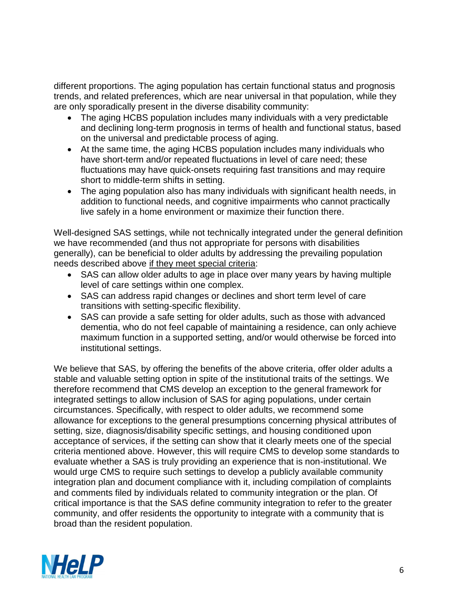different proportions. The aging population has certain functional status and prognosis trends, and related preferences, which are near universal in that population, while they are only sporadically present in the diverse disability community:

- The aging HCBS population includes many individuals with a very predictable and declining long-term prognosis in terms of health and functional status, based on the universal and predictable process of aging.
- At the same time, the aging HCBS population includes many individuals who have short-term and/or repeated fluctuations in level of care need; these fluctuations may have quick-onsets requiring fast transitions and may require short to middle-term shifts in setting.
- The aging population also has many individuals with significant health needs, in addition to functional needs, and cognitive impairments who cannot practically live safely in a home environment or maximize their function there.

Well-designed SAS settings, while not technically integrated under the general definition we have recommended (and thus not appropriate for persons with disabilities generally), can be beneficial to older adults by addressing the prevailing population needs described above if they meet special criteria:

- SAS can allow older adults to age in place over many years by having multiple level of care settings within one complex.
- SAS can address rapid changes or declines and short term level of care transitions with setting-specific flexibility.
- SAS can provide a safe setting for older adults, such as those with advanced dementia, who do not feel capable of maintaining a residence, can only achieve maximum function in a supported setting, and/or would otherwise be forced into institutional settings.

We believe that SAS, by offering the benefits of the above criteria, offer older adults a stable and valuable setting option in spite of the institutional traits of the settings. We therefore recommend that CMS develop an exception to the general framework for integrated settings to allow inclusion of SAS for aging populations, under certain circumstances. Specifically, with respect to older adults, we recommend some allowance for exceptions to the general presumptions concerning physical attributes of setting, size, diagnosis/disability specific settings, and housing conditioned upon acceptance of services, if the setting can show that it clearly meets one of the special criteria mentioned above. However, this will require CMS to develop some standards to evaluate whether a SAS is truly providing an experience that is non-institutional. We would urge CMS to require such settings to develop a publicly available community integration plan and document compliance with it, including compilation of complaints and comments filed by individuals related to community integration or the plan. Of critical importance is that the SAS define community integration to refer to the greater community, and offer residents the opportunity to integrate with a community that is broad than the resident population.

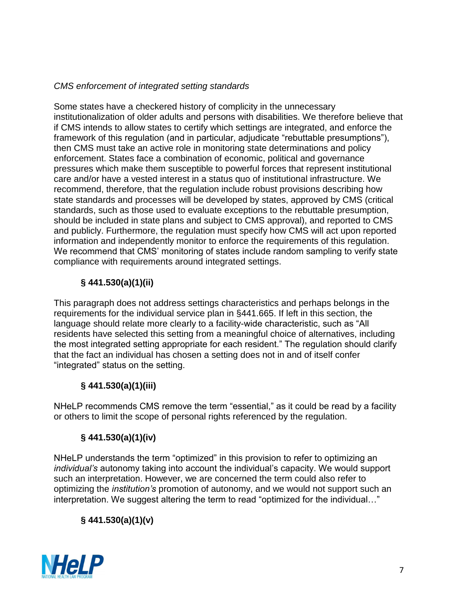### *CMS enforcement of integrated setting standards*

Some states have a checkered history of complicity in the unnecessary institutionalization of older adults and persons with disabilities. We therefore believe that if CMS intends to allow states to certify which settings are integrated, and enforce the framework of this regulation (and in particular, adjudicate "rebuttable presumptions"), then CMS must take an active role in monitoring state determinations and policy enforcement. States face a combination of economic, political and governance pressures which make them susceptible to powerful forces that represent institutional care and/or have a vested interest in a status quo of institutional infrastructure. We recommend, therefore, that the regulation include robust provisions describing how state standards and processes will be developed by states, approved by CMS (critical standards, such as those used to evaluate exceptions to the rebuttable presumption, should be included in state plans and subject to CMS approval), and reported to CMS and publicly. Furthermore, the regulation must specify how CMS will act upon reported information and independently monitor to enforce the requirements of this regulation. We recommend that CMS' monitoring of states include random sampling to verify state compliance with requirements around integrated settings.

# **§ 441.530(a)(1)(ii)**

This paragraph does not address settings characteristics and perhaps belongs in the requirements for the individual service plan in §441.665. If left in this section, the language should relate more clearly to a facility-wide characteristic, such as "All residents have selected this setting from a meaningful choice of alternatives, including the most integrated setting appropriate for each resident." The regulation should clarify that the fact an individual has chosen a setting does not in and of itself confer "integrated" status on the setting.

# **§ 441.530(a)(1)(iii)**

NHeLP recommends CMS remove the term "essential," as it could be read by a facility or others to limit the scope of personal rights referenced by the regulation.

# **§ 441.530(a)(1)(iv)**

NHeLP understands the term "optimized" in this provision to refer to optimizing an *individual's* autonomy taking into account the individual's capacity. We would support such an interpretation. However, we are concerned the term could also refer to optimizing the *institution's* promotion of autonomy, and we would not support such an interpretation. We suggest altering the term to read "optimized for the individual…"

# **§ 441.530(a)(1)(v)**

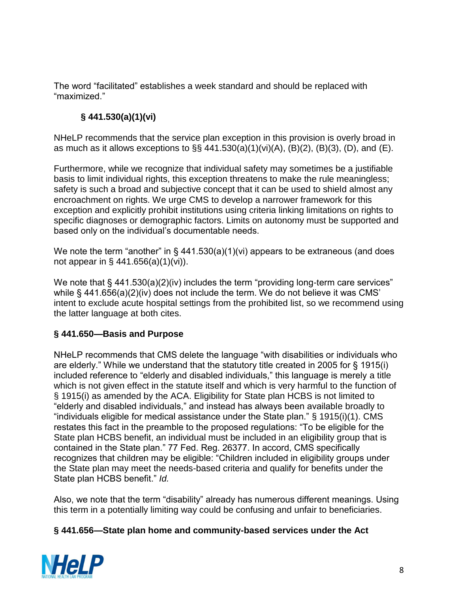The word "facilitated" establishes a week standard and should be replaced with "maximized."

# **§ 441.530(a)(1)(vi)**

NHeLP recommends that the service plan exception in this provision is overly broad in as much as it allows exceptions to  $\S\S 441.530(a)(1)(vi)(A)$ ,  $(B)(2)$ ,  $(B)(3)$ ,  $(D)$ , and  $(E)$ .

Furthermore, while we recognize that individual safety may sometimes be a justifiable basis to limit individual rights, this exception threatens to make the rule meaningless; safety is such a broad and subjective concept that it can be used to shield almost any encroachment on rights. We urge CMS to develop a narrower framework for this exception and explicitly prohibit institutions using criteria linking limitations on rights to specific diagnoses or demographic factors. Limits on autonomy must be supported and based only on the individual's documentable needs.

We note the term "another" in  $\S$  441.530(a)(1)(vi) appears to be extraneous (and does not appear in § 441.656(a)(1)(vi)).

We note that § 441.530(a)(2)(iv) includes the term "providing long-term care services" while § 441.656(a)(2)(iv) does not include the term. We do not believe it was CMS' intent to exclude acute hospital settings from the prohibited list, so we recommend using the latter language at both cites.

### **§ 441.650—Basis and Purpose**

NHeLP recommends that CMS delete the language "with disabilities or individuals who are elderly." While we understand that the statutory title created in 2005 for § 1915(i) included reference to "elderly and disabled individuals," this language is merely a title which is not given effect in the statute itself and which is very harmful to the function of § 1915(i) as amended by the ACA. Eligibility for State plan HCBS is not limited to "elderly and disabled individuals," and instead has always been available broadly to "individuals eligible for medical assistance under the State plan." § 1915(i)(1). CMS restates this fact in the preamble to the proposed regulations: "To be eligible for the State plan HCBS benefit, an individual must be included in an eligibility group that is contained in the State plan." 77 Fed. Reg. 26377. In accord, CMS specifically recognizes that children may be eligible: "Children included in eligibility groups under the State plan may meet the needs-based criteria and qualify for benefits under the State plan HCBS benefit." *Id.*

Also, we note that the term "disability" already has numerous different meanings. Using this term in a potentially limiting way could be confusing and unfair to beneficiaries.

### **§ 441.656—State plan home and community-based services under the Act**

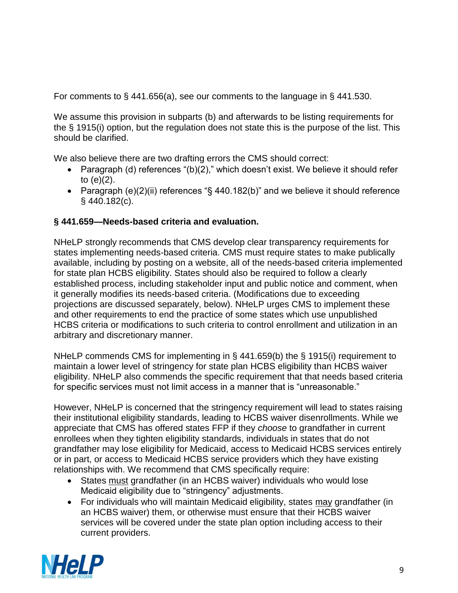For comments to § 441.656(a), see our comments to the language in § 441.530.

We assume this provision in subparts (b) and afterwards to be listing requirements for the § 1915(i) option, but the regulation does not state this is the purpose of the list. This should be clarified.

We also believe there are two drafting errors the CMS should correct:

- Paragraph (d) references "(b)(2)," which doesn't exist. We believe it should refer to (e)(2).
- Paragraph (e)(2)(ii) references "§ 440.182(b)" and we believe it should reference § 440.182(c).

### **§ 441.659—Needs-based criteria and evaluation.**

NHeLP strongly recommends that CMS develop clear transparency requirements for states implementing needs-based criteria. CMS must require states to make publically available, including by posting on a website, all of the needs-based criteria implemented for state plan HCBS eligibility. States should also be required to follow a clearly established process, including stakeholder input and public notice and comment, when it generally modifies its needs-based criteria. (Modifications due to exceeding projections are discussed separately, below). NHeLP urges CMS to implement these and other requirements to end the practice of some states which use unpublished HCBS criteria or modifications to such criteria to control enrollment and utilization in an arbitrary and discretionary manner.

NHeLP commends CMS for implementing in § 441.659(b) the § 1915(i) requirement to maintain a lower level of stringency for state plan HCBS eligibility than HCBS waiver eligibility. NHeLP also commends the specific requirement that that needs based criteria for specific services must not limit access in a manner that is "unreasonable."

However, NHeLP is concerned that the stringency requirement will lead to states raising their institutional eligibility standards, leading to HCBS waiver disenrollments. While we appreciate that CMS has offered states FFP if they *choose* to grandfather in current enrollees when they tighten eligibility standards, individuals in states that do not grandfather may lose eligibility for Medicaid, access to Medicaid HCBS services entirely or in part, or access to Medicaid HCBS service providers which they have existing relationships with. We recommend that CMS specifically require:

- States must grandfather (in an HCBS waiver) individuals who would lose Medicaid eligibility due to "stringency" adjustments.
- For individuals who will maintain Medicaid eligibility, states may grandfather (in an HCBS waiver) them, or otherwise must ensure that their HCBS waiver services will be covered under the state plan option including access to their current providers.

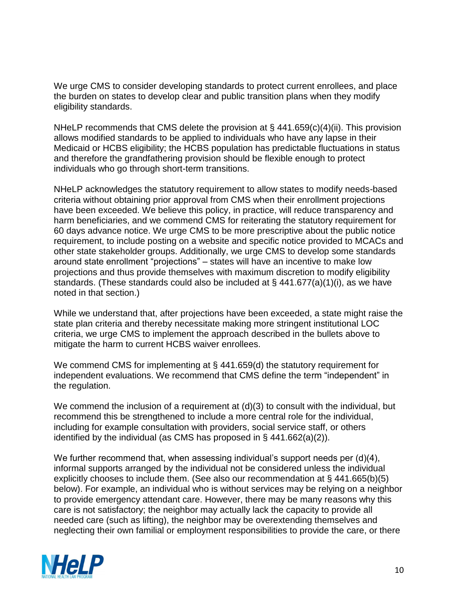We urge CMS to consider developing standards to protect current enrollees, and place the burden on states to develop clear and public transition plans when they modify eligibility standards.

NHeLP recommends that CMS delete the provision at § 441.659(c)(4)(ii). This provision allows modified standards to be applied to individuals who have any lapse in their Medicaid or HCBS eligibility; the HCBS population has predictable fluctuations in status and therefore the grandfathering provision should be flexible enough to protect individuals who go through short-term transitions.

NHeLP acknowledges the statutory requirement to allow states to modify needs-based criteria without obtaining prior approval from CMS when their enrollment projections have been exceeded. We believe this policy, in practice, will reduce transparency and harm beneficiaries, and we commend CMS for reiterating the statutory requirement for 60 days advance notice. We urge CMS to be more prescriptive about the public notice requirement, to include posting on a website and specific notice provided to MCACs and other state stakeholder groups. Additionally, we urge CMS to develop some standards around state enrollment "projections" – states will have an incentive to make low projections and thus provide themselves with maximum discretion to modify eligibility standards. (These standards could also be included at § 441.677(a)(1)(i), as we have noted in that section.)

While we understand that, after projections have been exceeded, a state might raise the state plan criteria and thereby necessitate making more stringent institutional LOC criteria, we urge CMS to implement the approach described in the bullets above to mitigate the harm to current HCBS waiver enrollees.

We commend CMS for implementing at § 441.659(d) the statutory requirement for independent evaluations. We recommend that CMS define the term "independent" in the regulation.

We commend the inclusion of a requirement at  $(d)(3)$  to consult with the individual, but recommend this be strengthened to include a more central role for the individual, including for example consultation with providers, social service staff, or others identified by the individual (as CMS has proposed in § 441.662(a)(2)).

We further recommend that, when assessing individual's support needs per (d)(4), informal supports arranged by the individual not be considered unless the individual explicitly chooses to include them. (See also our recommendation at § 441.665(b)(5) below). For example, an individual who is without services may be relying on a neighbor to provide emergency attendant care. However, there may be many reasons why this care is not satisfactory; the neighbor may actually lack the capacity to provide all needed care (such as lifting), the neighbor may be overextending themselves and neglecting their own familial or employment responsibilities to provide the care, or there

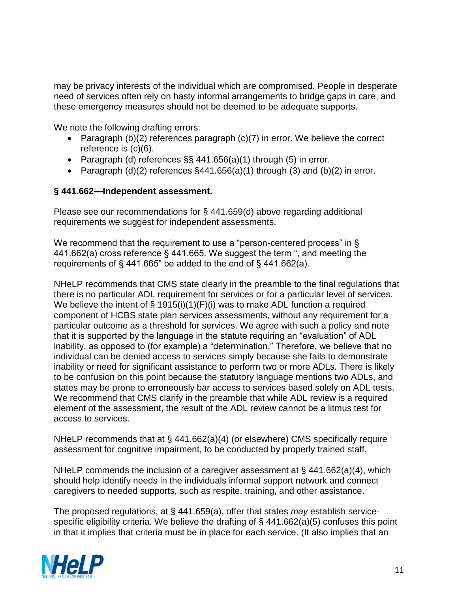may be privacy interests of the individual which are compromised. People in desperate need of services often rely on hasty informal arrangements to bridge gaps in care, and these emergency measures should not be deemed to be adequate supports.

We note the following drafting errors:

- Paragraph (b)(2) references paragraph (c)(7) in error. We believe the correct reference is (c)(6).
- Paragraph (d) references  $\S$ § 441.656(a)(1) through (5) in error.
- Paragraph  $(d)(2)$  references §441.656(a)(1) through (3) and (b)(2) in error.

### **§ 441.662—Independent assessment.**

Please see our recommendations for § 441.659(d) above regarding additional requirements we suggest for independent assessments.

We recommend that the requirement to use a "person-centered process" in § 441.662(a) cross reference § 441.665. We suggest the term ", and meeting the requirements of § 441.665" be added to the end of § 441.662(a).

NHeLP recommends that CMS state clearly in the preamble to the final regulations that there is no particular ADL requirement for services or for a particular level of services. We believe the intent of  $\S$  1915(i)(1)(F)(i) was to make ADL function a required component of HCBS state plan services assessments, without any requirement for a particular outcome as a threshold for services. We agree with such a policy and note that it is supported by the language in the statute requiring an "evaluation" of ADL inability, as opposed to (for example) a "determination." Therefore, we believe that no individual can be denied access to services simply because she fails to demonstrate inability or need for significant assistance to perform two or more ADLs. There is likely to be confusion on this point because the statutory language mentions two ADLs, and states may be prone to erroneously bar access to services based solely on ADL tests. We recommend that CMS clarify in the preamble that while ADL review is a required element of the assessment, the result of the ADL review cannot be a litmus test for access to services.

NHeLP recommends that at § 441.662(a)(4) (or elsewhere) CMS specifically require assessment for cognitive impairment, to be conducted by properly trained staff.

NHeLP commends the inclusion of a caregiver assessment at § 441.662(a)(4), which should help identify needs in the individuals informal support network and connect caregivers to needed supports, such as respite, training, and other assistance.

The proposed regulations, at § 441.659(a), offer that states *may* establish servicespecific eligibility criteria. We believe the drafting of § 441.662(a)(5) confuses this point in that it implies that criteria must be in place for each service. (It also implies that an

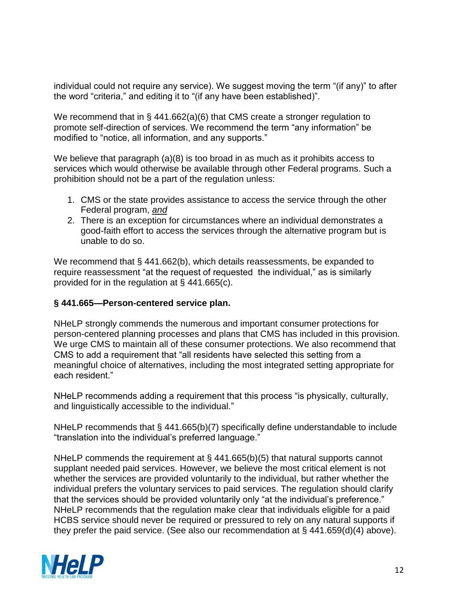individual could not require any service). We suggest moving the term "(if any)" to after the word "criteria," and editing it to "(if any have been established)".

We recommend that in § 441.662(a)(6) that CMS create a stronger regulation to promote self-direction of services. We recommend the term "any information" be modified to "notice, all information, and any supports."

We believe that paragraph (a)(8) is too broad in as much as it prohibits access to services which would otherwise be available through other Federal programs. Such a prohibition should not be a part of the regulation unless:

- 1. CMS or the state provides assistance to access the service through the other Federal program, *and*
- 2. There is an exception for circumstances where an individual demonstrates a good-faith effort to access the services through the alternative program but is unable to do so.

We recommend that § 441.662(b), which details reassessments, be expanded to require reassessment "at the request of requested the individual," as is similarly provided for in the regulation at § 441.665(c).

### **§ 441.665—Person-centered service plan.**

NHeLP strongly commends the numerous and important consumer protections for person-centered planning processes and plans that CMS has included in this provision. We urge CMS to maintain all of these consumer protections. We also recommend that CMS to add a requirement that "all residents have selected this setting from a meaningful choice of alternatives, including the most integrated setting appropriate for each resident."

NHeLP recommends adding a requirement that this process "is physically, culturally, and linguistically accessible to the individual."

NHeLP recommends that § 441.665(b)(7) specifically define understandable to include "translation into the individual's preferred language."

NHeLP commends the requirement at § 441.665(b)(5) that natural supports cannot supplant needed paid services. However, we believe the most critical element is not whether the services are provided voluntarily to the individual, but rather whether the individual prefers the voluntary services to paid services. The regulation should clarify that the services should be provided voluntarily only "at the individual's preference." NHeLP recommends that the regulation make clear that individuals eligible for a paid HCBS service should never be required or pressured to rely on any natural supports if they prefer the paid service. (See also our recommendation at § 441.659(d)(4) above).

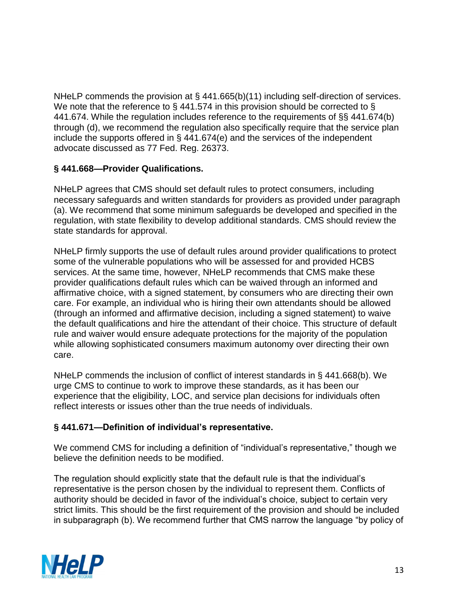NHeLP commends the provision at § 441.665(b)(11) including self-direction of services. We note that the reference to § 441.574 in this provision should be corrected to § 441.674. While the regulation includes reference to the requirements of §§ 441.674(b) through (d), we recommend the regulation also specifically require that the service plan include the supports offered in § 441.674(e) and the services of the independent advocate discussed as 77 Fed. Reg. 26373.

### **§ 441.668—Provider Qualifications.**

NHeLP agrees that CMS should set default rules to protect consumers, including necessary safeguards and written standards for providers as provided under paragraph (a). We recommend that some minimum safeguards be developed and specified in the regulation, with state flexibility to develop additional standards. CMS should review the state standards for approval.

NHeLP firmly supports the use of default rules around provider qualifications to protect some of the vulnerable populations who will be assessed for and provided HCBS services. At the same time, however, NHeLP recommends that CMS make these provider qualifications default rules which can be waived through an informed and affirmative choice, with a signed statement, by consumers who are directing their own care. For example, an individual who is hiring their own attendants should be allowed (through an informed and affirmative decision, including a signed statement) to waive the default qualifications and hire the attendant of their choice. This structure of default rule and waiver would ensure adequate protections for the majority of the population while allowing sophisticated consumers maximum autonomy over directing their own care.

NHeLP commends the inclusion of conflict of interest standards in § 441.668(b). We urge CMS to continue to work to improve these standards, as it has been our experience that the eligibility, LOC, and service plan decisions for individuals often reflect interests or issues other than the true needs of individuals.

### **§ 441.671—Definition of individual's representative.**

We commend CMS for including a definition of "individual's representative," though we believe the definition needs to be modified.

The regulation should explicitly state that the default rule is that the individual's representative is the person chosen by the individual to represent them. Conflicts of authority should be decided in favor of the individual's choice, subject to certain very strict limits. This should be the first requirement of the provision and should be included in subparagraph (b). We recommend further that CMS narrow the language "by policy of

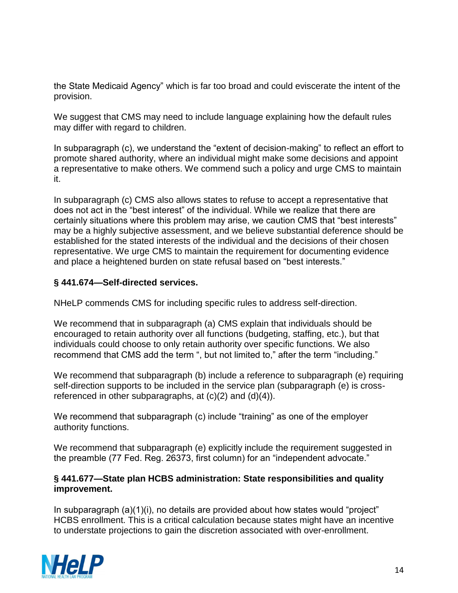the State Medicaid Agency" which is far too broad and could eviscerate the intent of the provision.

We suggest that CMS may need to include language explaining how the default rules may differ with regard to children.

In subparagraph (c), we understand the "extent of decision-making" to reflect an effort to promote shared authority, where an individual might make some decisions and appoint a representative to make others. We commend such a policy and urge CMS to maintain it.

In subparagraph (c) CMS also allows states to refuse to accept a representative that does not act in the "best interest" of the individual. While we realize that there are certainly situations where this problem may arise, we caution CMS that "best interests" may be a highly subjective assessment, and we believe substantial deference should be established for the stated interests of the individual and the decisions of their chosen representative. We urge CMS to maintain the requirement for documenting evidence and place a heightened burden on state refusal based on "best interests."

### **§ 441.674—Self-directed services.**

NHeLP commends CMS for including specific rules to address self-direction.

We recommend that in subparagraph (a) CMS explain that individuals should be encouraged to retain authority over all functions (budgeting, staffing, etc.), but that individuals could choose to only retain authority over specific functions. We also recommend that CMS add the term ", but not limited to," after the term "including."

We recommend that subparagraph (b) include a reference to subparagraph (e) requiring self-direction supports to be included in the service plan (subparagraph (e) is crossreferenced in other subparagraphs, at (c)(2) and (d)(4)).

We recommend that subparagraph (c) include "training" as one of the employer authority functions.

We recommend that subparagraph (e) explicitly include the requirement suggested in the preamble (77 Fed. Reg. 26373, first column) for an "independent advocate."

#### **§ 441.677—State plan HCBS administration: State responsibilities and quality improvement.**

In subparagraph (a)(1)(i), no details are provided about how states would "project" HCBS enrollment. This is a critical calculation because states might have an incentive to understate projections to gain the discretion associated with over-enrollment.